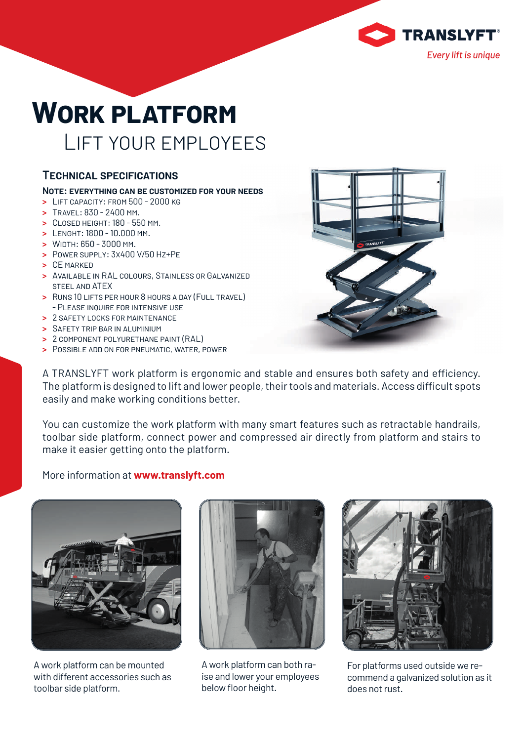

# **WORK PLATFORM** LIFT YOUR EMPLOYEES

### **TECHNICAL SPECIFICATIONS**

#### **NOTE: EVERYTHING CAN BE CUSTOMIZED FOR YOUR NEEDS**

- **>** LIFT CAPACITY: FROM 500 2000 KG
- **>** TRAVEL: 830 2400 MM.
- **>** CLOSED HEIGHT: 180 550 MM.
- **>** LENGHT: 1800 10.000 MM.
- **>** WIDTH: 650 3000 MM.
- **>** POWER SUPPLY: 3X400 V/50 HZ+PE
- **>** CE MARKED
- **>** AVAILABLE IN RAL COLOURS, STAINLESS OR GALVANIZED STEEL AND ATEX
- **>** RUNS 10 LIFTS PER HOUR 8 HOURS A DAY (FULL TRAVEL) - PLEASE INQUIRE FOR INTENSIVE USE
- **>** 2 SAFETY LOCKS FOR MAINTENANCE
- **>** SAFETY TRIP BAR IN ALUMINIUM
- **>** 2 COMPONENT POLYURETHANE PAINT (RAL)
- **>** POSSIBLE ADD ON FOR PNEUMATIC, WATER, POWER

A TRANSLYFT work platform is ergonomic and stable and ensures both safety and efficiency. The platform is designed to lift and lower people, their tools and materials. Access difficult spots easily and make working conditions better.

You can customize the work platform with many smart features such as retractable handrails, toolbar side platform, connect power and compressed air directly from platform and stairs to make it easier getting onto the platform.

#### More information at **www.translyft.com**



A work platform can be mounted with different accessories such as toolbar side platform.



A work platform can both raise and lower your employees below floor height.



For platforms used outside we recommend a galvanized solution as it does not rust.